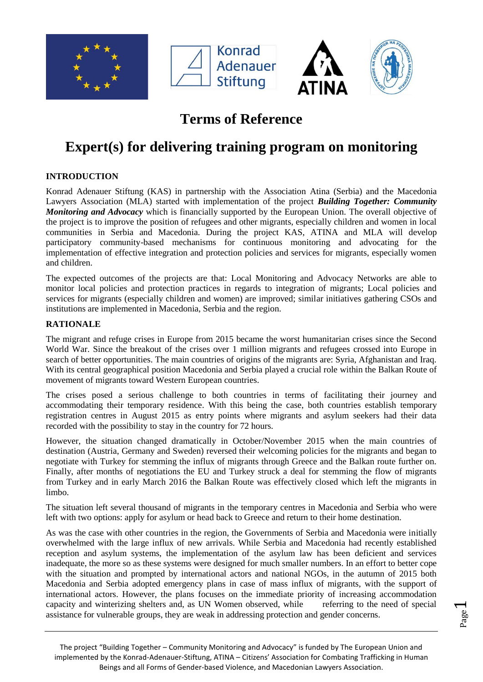





## **Terms of Reference**

# **Expert(s) for delivering training program on monitoring**

## **INTRODUCTION**

Konrad Adenauer Stiftung (KAS) in partnership with the Association Atina (Serbia) and the Macedonia Lawyers Association (MLA) started with implementation of the project *Building Together: Community Monitoring and Advocacy* which is financially supported by the European Union. The overall objective of the project is to improve the position of refugees and other migrants, especially children and women in local communities in Serbia and Macedonia. During the project KAS, ATINA and MLA will develop participatory community-based mechanisms for continuous monitoring and advocating for the implementation of effective integration and protection policies and services for migrants, especially women and children.

The expected outcomes of the projects are that: Local Monitoring and Advocacy Networks are able to monitor local policies and protection practices in regards to integration of migrants; Local policies and services for migrants (especially children and women) are improved; similar initiatives gathering CSOs and institutions are implemented in Macedonia, Serbia and the region.

### **RATIONALE**

The migrant and refuge crises in Europe from 2015 became the worst humanitarian crises since the Second World War. Since the breakout of the crises over 1 million migrants and refugees crossed into Europe in search of better opportunities. The main countries of origins of the migrants are: Syria, Afghanistan and Iraq. With its central geographical position Macedonia and Serbia played a crucial role within the Balkan Route of movement of migrants toward Western European countries.

The crises posed a serious challenge to both countries in terms of facilitating their journey and accommodating their temporary residence. With this being the case, both countries establish temporary registration centres in August 2015 as entry points where migrants and asylum seekers had their data recorded with the possibility to stay in the country for 72 hours.

However, the situation changed dramatically in October/November 2015 when the main countries of destination (Austria, Germany and Sweden) reversed their welcoming policies for the migrants and began to negotiate with Turkey for stemming the influx of migrants through Greece and the Balkan route further on. Finally, after months of negotiations the EU and Turkey struck a deal for stemming the flow of migrants from Turkey and in early March 2016 the Balkan Route was effectively closed which left the migrants in limbo.

The situation left several thousand of migrants in the temporary centres in Macedonia and Serbia who were left with two options: apply for asylum or head back to Greece and return to their home destination.

As was the case with other countries in the region, the Governments of Serbia and Macedonia were initially overwhelmed with the large influx of new arrivals. While Serbia and Macedonia had recently established reception and asylum systems, the implementation of the asylum law has been deficient and services inadequate, the more so as these systems were designed for much smaller numbers. In an effort to better cope with the situation and prompted by international actors and national NGOs, in the autumn of 2015 both Macedonia and Serbia adopted emergency plans in case of mass influx of migrants, with the support of international actors. However, the plans focuses on the immediate priority of increasing accommodation capacity and winterizing shelters and, as UN Women observed, while referring to the need of special assistance for vulnerable groups, they are weak in addressing protection and gender concerns.

The project "Building Together – Community Monitoring and Advocacy" is funded by The European Union and implemented by the Konrad-Adenauer-Stiftung, ATINA – Citizens' Association for Combating Trafficking in Human Beings and all Forms of Gender-based Violence, and Macedonian Lawyers Association.

Page  $\overline{\phantom{0}}$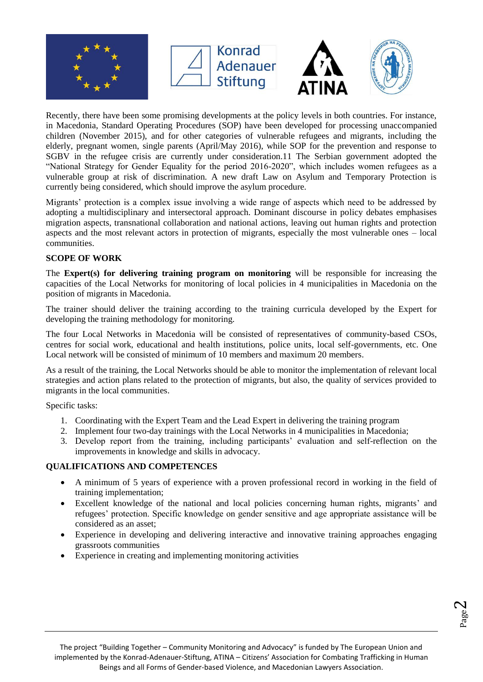







Recently, there have been some promising developments at the policy levels in both countries. For instance, in Macedonia, Standard Operating Procedures (SOP) have been developed for processing unaccompanied children (November 2015), and for other categories of vulnerable refugees and migrants, including the elderly, pregnant women, single parents (April/May 2016), while SOP for the prevention and response to SGBV in the refugee crisis are currently under consideration.11 The Serbian government adopted the "National Strategy for Gender Equality for the period 2016-2020", which includes women refugees as a vulnerable group at risk of discrimination. A new draft Law on Asylum and Temporary Protection is currently being considered, which should improve the asylum procedure.

Migrants' protection is a complex issue involving a wide range of aspects which need to be addressed by adopting a multidisciplinary and intersectoral approach. Dominant discourse in policy debates emphasises migration aspects, transnational collaboration and national actions, leaving out human rights and protection aspects and the most relevant actors in protection of migrants, especially the most vulnerable ones – local communities.

#### **SCOPE OF WORK**

The **Expert(s) for delivering training program on monitoring** will be responsible for increasing the capacities of the Local Networks for monitoring of local policies in 4 municipalities in Macedonia on the position of migrants in Macedonia.

The trainer should deliver the training according to the training curricula developed by the Expert for developing the training methodology for monitoring.

The four Local Networks in Macedonia will be consisted of representatives of community-based CSOs, centres for social work, educational and health institutions, police units, local self-governments, etc. One Local network will be consisted of minimum of 10 members and maximum 20 members.

As a result of the training, the Local Networks should be able to monitor the implementation of relevant local strategies and action plans related to the protection of migrants, but also, the quality of services provided to migrants in the local communities.

Specific tasks:

- 1. Coordinating with the Expert Team and the Lead Expert in delivering the training program
- 2. Implement four two-day trainings with the Local Networks in 4 municipalities in Macedonia;
- 3. Develop report from the training, including participants' evaluation and self-reflection on the improvements in knowledge and skills in advocacy.

### **QUALIFICATIONS AND COMPETENCES**

- A minimum of 5 years of experience with a proven professional record in working in the field of training implementation;
- Excellent knowledge of the national and local policies concerning human rights, migrants' and refugees' protection. Specific knowledge on gender sensitive and age appropriate assistance will be considered as an asset;
- Experience in developing and delivering interactive and innovative training approaches engaging grassroots communities
- Experience in creating and implementing monitoring activities